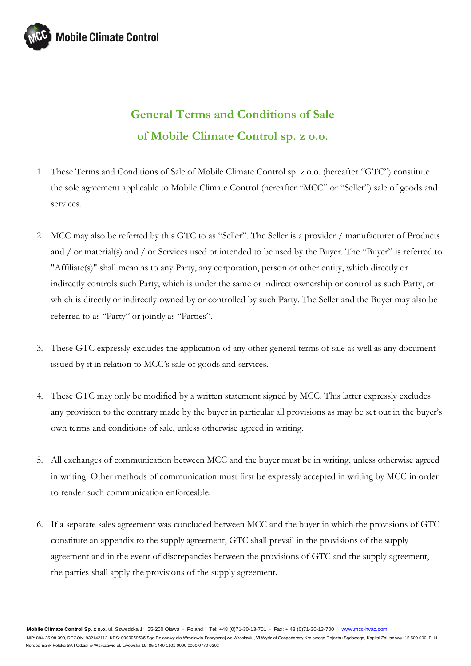

## **General Terms and Conditions of Sale of Mobile Climate Control sp. z o.o.**

- 1. These Terms and Conditions of Sale of Mobile Climate Control sp. z o.o. (hereafter "GTC") constitute the sole agreement applicable to Mobile Climate Control (hereafter "MCC" or "Seller") sale of goods and services.
- 2. MCC may also be referred by this GTC to as "Seller". The Seller is a provider / manufacturer of Products and / or material(s) and / or Services used or intended to be used by the Buyer. The "Buyer" is referred to "Affiliate(s)" shall mean as to any Party, any corporation, person or other entity, which directly or indirectly controls such Party, which is under the same or indirect ownership or control as such Party, or which is directly or indirectly owned by or controlled by such Party. The Seller and the Buyer may also be referred to as "Party" or jointly as "Parties".
- 3. These GTC expressly excludes the application of any other general terms of sale as well as any document issued by it in relation to MCC's sale of goods and services.
- 4. These GTC may only be modified by a written statement signed by MCC. This latter expressly excludes any provision to the contrary made by the buyer in particular all provisions as may be set out in the buyer's own terms and conditions of sale, unless otherwise agreed in writing.
- 5. All exchanges of communication between MCC and the buyer must be in writing, unless otherwise agreed in writing. Other methods of communication must first be expressly accepted in writing by MCC in order to render such communication enforceable.
- 6. If a separate sales agreement was concluded between MCC and the buyer in which the provisions of GTC constitute an appendix to the supply agreement, GTC shall prevail in the provisions of the supply agreement and in the event of discrepancies between the provisions of GTC and the supply agreement, the parties shall apply the provisions of the supply agreement.

**Mobile Climate Control Sp. z o.o.** ul. Szwedzka 1◦ 55-200 Oława ◦ Poland ◦ Tel: +48 (0)71-30-13-701 ◦ Fax: + 48 (0)71-30-13-700 ◦ [www.mcc-hvac.com](http://www.mcc-hvac.com/) 

NIP: 894-25-98-390, REGON: 932142112, KRS: 0000059535 Sąd Rejonowy dla Wrocławia-Fabrycznej we Wrocławiu, VI Wydział Gospodarczy Krajowego Rejestru Sądowego, Kapitał Zakładowy: 15 500 000 PLN, Nordea Bank Polska SA I Odział w Warszawie ul. Lwowska 19, 85 1440 1101 0000 0000 0770 0202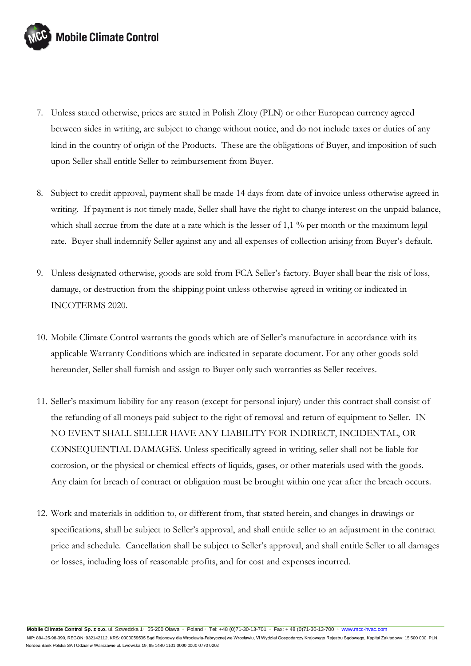

- 7. Unless stated otherwise, prices are stated in Polish Zloty (PLN) or other European currency agreed between sides in writing, are subject to change without notice, and do not include taxes or duties of any kind in the country of origin of the Products. These are the obligations of Buyer, and imposition of such upon Seller shall entitle Seller to reimbursement from Buyer.
- 8. Subject to credit approval, payment shall be made 14 days from date of invoice unless otherwise agreed in writing. If payment is not timely made, Seller shall have the right to charge interest on the unpaid balance, which shall accrue from the date at a rate which is the lesser of 1,1 % per month or the maximum legal rate. Buyer shall indemnify Seller against any and all expenses of collection arising from Buyer's default.
- 9. Unless designated otherwise, goods are sold from FCA Seller's factory. Buyer shall bear the risk of loss, damage, or destruction from the shipping point unless otherwise agreed in writing or indicated in INCOTERMS 2020.
- 10. Mobile Climate Control warrants the goods which are of Seller's manufacture in accordance with its applicable Warranty Conditions which are indicated in separate document. For any other goods sold hereunder, Seller shall furnish and assign to Buyer only such warranties as Seller receives.
- 11. Seller's maximum liability for any reason (except for personal injury) under this contract shall consist of the refunding of all moneys paid subject to the right of removal and return of equipment to Seller. IN NO EVENT SHALL SELLER HAVE ANY LIABILITY FOR INDIRECT, INCIDENTAL, OR CONSEQUENTIAL DAMAGES. Unless specifically agreed in writing, seller shall not be liable for corrosion, or the physical or chemical effects of liquids, gases, or other materials used with the goods. Any claim for breach of contract or obligation must be brought within one year after the breach occurs.
- 12. Work and materials in addition to, or different from, that stated herein, and changes in drawings or specifications, shall be subject to Seller's approval, and shall entitle seller to an adjustment in the contract price and schedule. Cancellation shall be subject to Seller's approval, and shall entitle Seller to all damages or losses, including loss of reasonable profits, and for cost and expenses incurred.

**Mobile Climate Control Sp. z o.o.** ul. Szwedzka 1◦ 55-200 Oława ◦ Poland ◦ Tel: +48 (0)71-30-13-701 ◦ Fax: + 48 (0)71-30-13-700 ◦ [www.mcc-hvac.com](http://www.mcc-hvac.com/) 

 NIP: 894-25-98-390, REGON: 932142112, KRS: 0000059535 Sąd Rejonowy dla Wrocławia-Fabrycznej we Wrocławiu, VI Wydział Gospodarczy Krajowego Rejestru Sądowego, Kapitał Zakładowy: 15 500 000 PLN, Nordea Bank Polska SA I Odział w Warszawie ul. Lwowska 19, 85 1440 1101 0000 0000 0770 0202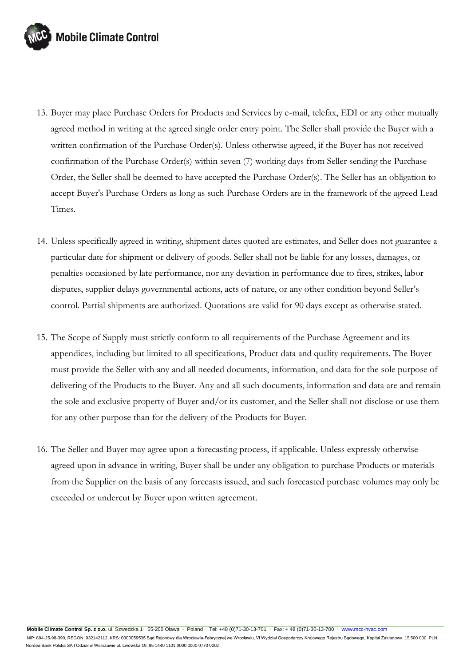

- 13. Buyer may place Purchase Orders for Products and Services by e-mail, telefax, EDI or any other mutually agreed method in writing at the agreed single order entry point. The Seller shall provide the Buyer with a written confirmation of the Purchase Order(s). Unless otherwise agreed, if the Buyer has not received confirmation of the Purchase Order(s) within seven (7) working days from Seller sending the Purchase Order, the Seller shall be deemed to have accepted the Purchase Order(s). The Seller has an obligation to accept Buyer's Purchase Orders as long as such Purchase Orders are in the framework of the agreed Lead Times.
- 14. Unless specifically agreed in writing, shipment dates quoted are estimates, and Seller does not guarantee a particular date for shipment or delivery of goods. Seller shall not be liable for any losses, damages, or penalties occasioned by late performance, nor any deviation in performance due to fires, strikes, labor disputes, supplier delays governmental actions, acts of nature, or any other condition beyond Seller's control. Partial shipments are authorized. Quotations are valid for 90 days except as otherwise stated.
- 15. The Scope of Supply must strictly conform to all requirements of the Purchase Agreement and its appendices, including but limited to all specifications, Product data and quality requirements. The Buyer must provide the Seller with any and all needed documents, information, and data for the sole purpose of delivering of the Products to the Buyer. Any and all such documents, information and data are and remain the sole and exclusive property of Buyer and/or its customer, and the Seller shall not disclose or use them for any other purpose than for the delivery of the Products for Buyer.
- 16. The Seller and Buyer may agree upon a forecasting process, if applicable. Unless expressly otherwise agreed upon in advance in writing, Buyer shall be under any obligation to purchase Products or materials from the Supplier on the basis of any forecasts issued, and such forecasted purchase volumes may only be exceeded or undercut by Buyer upon written agreement.

**Mobile Climate Control Sp. z o.o.** ul. Szwedzka 1◦ 55-200 Oława ◦ Poland ◦ Tel: +48 (0)71-30-13-701 ◦ Fax: + 48 (0)71-30-13-700 ◦ [www.mcc-hvac.com](http://www.mcc-hvac.com/) 

NIP: 894-25-98-390, REGON: 932142112, KRS: 0000059535 Sąd Rejonowy dla Wrocławia-Fabrycznej we Wrocławiu, VI Wydział Gospodarczy Krajowego Rejestru Sądowego, Kapitał Zakładowy: 15 500 000 PLN, Nordea Bank Polska SA I Odział w Warszawie ul. Lwowska 19, 85 1440 1101 0000 0000 0770 0202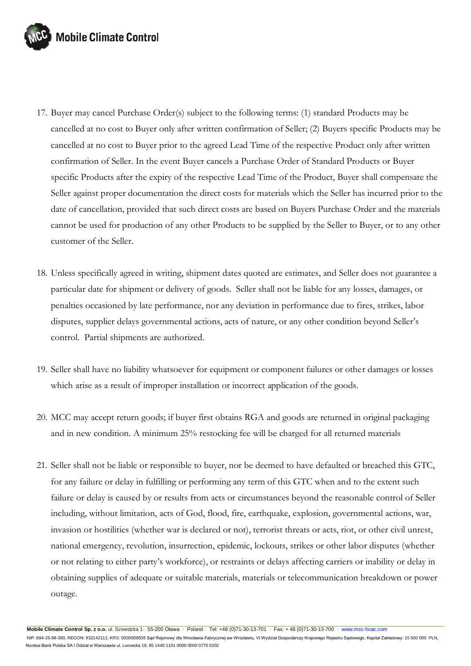

- 17. Buyer may cancel Purchase Order(s) subject to the following terms: (1) standard Products may be cancelled at no cost to Buyer only after written confirmation of Seller; (2) Buyers specific Products may be cancelled at no cost to Buyer prior to the agreed Lead Time of the respective Product only after written confirmation of Seller. In the event Buyer cancels a Purchase Order of Standard Products or Buyer specific Products after the expiry of the respective Lead Time of the Product, Buyer shall compensate the Seller against proper documentation the direct costs for materials which the Seller has incurred prior to the date of cancellation, provided that such direct costs are based on Buyers Purchase Order and the materials cannot be used for production of any other Products to be supplied by the Seller to Buyer, or to any other customer of the Seller.
- 18. Unless specifically agreed in writing, shipment dates quoted are estimates, and Seller does not guarantee a particular date for shipment or delivery of goods. Seller shall not be liable for any losses, damages, or penalties occasioned by late performance, nor any deviation in performance due to fires, strikes, labor disputes, supplier delays governmental actions, acts of nature, or any other condition beyond Seller's control. Partial shipments are authorized.
- 19. Seller shall have no liability whatsoever for equipment or component failures or other damages or losses which arise as a result of improper installation or incorrect application of the goods.
- 20. MCC may accept return goods; if buyer first obtains RGA and goods are returned in original packaging and in new condition. A minimum 25% restocking fee will be charged for all returned materials
- 21. Seller shall not be liable or responsible to buyer, nor be deemed to have defaulted or breached this GTC, for any failure or delay in fulfilling or performing any term of this GTC when and to the extent such failure or delay is caused by or results from acts or circumstances beyond the reasonable control of Seller including, without limitation, acts of God, flood, fire, earthquake, explosion, governmental actions, war, invasion or hostilities (whether war is declared or not), terrorist threats or acts, riot, or other civil unrest, national emergency, revolution, insurrection, epidemic, lockouts, strikes or other labor disputes (whether or not relating to either party's workforce), or restraints or delays affecting carriers or inability or delay in obtaining supplies of adequate or suitable materials, materials or telecommunication breakdown or power outage.

**Mobile Climate Control Sp. z o.o.** ul. Szwedzka 1◦ 55-200 Oława ◦ Poland ◦ Tel: +48 (0)71-30-13-701 ◦ Fax: + 48 (0)71-30-13-700 ◦ [www.mcc-hvac.com](http://www.mcc-hvac.com/)  NIP: 894-25-98-390, REGON: 932142112, KRS: 0000059535 Sąd Rejonowy dla Wrocławia-Fabrycznej we Wrocławiu, VI Wydział Gospodarczy Krajowego Rejestru Sądowego, Kapitał Zakładowy: 15 500 000 PLN, Nordea Bank Polska SA I Odział w Warszawie ul. Lwowska 19, 85 1440 1101 0000 0000 0770 0202